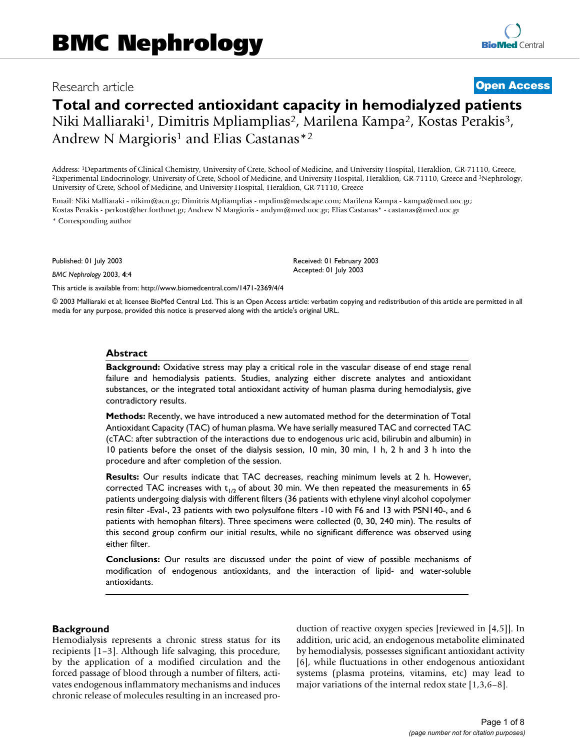# Research article **[Open Access](http://www.biomedcentral.com/info/about/charter/)**

# **Total and corrected antioxidant capacity in hemodialyzed patients** Niki Malliaraki<sup>1</sup>, Dimitris Mpliamplias<sup>2</sup>, Marilena Kampa<sup>2</sup>, Kostas Perakis<sup>3</sup>,

Andrew N Margioris<sup>1</sup> and Elias Castanas<sup>\*2</sup>

Address: <sup>1</sup>Departments of Clinical Chemistry, University of Crete, School of Medicine, and University Hospital, Heraklion, GR-71110, Greece, <sup>2</sup>Experimental Endocrinology, University of Crete, School of Medicine, and Univ University of Crete, School of Medicine, and University Hospital, Heraklion, GR-71110, Greece

Email: Niki Malliaraki - nikim@acn.gr; Dimitris Mpliamplias - mpdim@medscape.com; Marilena Kampa - kampa@med.uoc.gr; Kostas Perakis - perkost@her.forthnet.gr; Andrew N Margioris - andym@med.uoc.gr; Elias Castanas\* - castanas@med.uoc.gr \* Corresponding author

Published: 01 July 2003

*BMC Nephrology* 2003, **4**:4

[This article is available from: http://www.biomedcentral.com/1471-2369/4/4](http://www.biomedcentral.com/1471-2369/4/4)

© 2003 Malliaraki et al; licensee BioMed Central Ltd. This is an Open Access article: verbatim copying and redistribution of this article are permitted in all media for any purpose, provided this notice is preserved along with the article's original URL.

Received: 01 February 2003 Accepted: 01 July 2003

#### **Abstract**

**Background:** Oxidative stress may play a critical role in the vascular disease of end stage renal failure and hemodialysis patients. Studies, analyzing either discrete analytes and antioxidant substances, or the integrated total antioxidant activity of human plasma during hemodialysis, give contradictory results.

**Methods:** Recently, we have introduced a new automated method for the determination of Total Antioxidant Capacity (TAC) of human plasma. We have serially measured TAC and corrected TAC (cTAC: after subtraction of the interactions due to endogenous uric acid, bilirubin and albumin) in 10 patients before the onset of the dialysis session, 10 min, 30 min, 1 h, 2 h and 3 h into the procedure and after completion of the session.

**Results:** Our results indicate that TAC decreases, reaching minimum levels at 2 h. However, corrected TAC increases with  $t_{1/2}$  of about 30 min. We then repeated the measurements in 65 patients undergoing dialysis with different filters (36 patients with ethylene vinyl alcohol copolymer resin filter -Eval-, 23 patients with two polysulfone filters -10 with F6 and 13 with PSN140-, and 6 patients with hemophan filters). Three specimens were collected (0, 30, 240 min). The results of this second group confirm our initial results, while no significant difference was observed using either filter.

**Conclusions:** Our results are discussed under the point of view of possible mechanisms of modification of endogenous antioxidants, and the interaction of lipid- and water-soluble antioxidants.

#### **Background**

Hemodialysis represents a chronic stress status for its recipients [1–3]. Although life salvaging, this procedure, by the application of a modified circulation and the forced passage of blood through a number of filters, activates endogenous inflammatory mechanisms and induces chronic release of molecules resulting in an increased production of reactive oxygen species [reviewed in [4,5]]. In addition, uric acid, an endogenous metabolite eliminated by hemodialysis, possesses significant antioxidant activity [6], while fluctuations in other endogenous antioxidant systems (plasma proteins, vitamins, etc) may lead to major variations of the internal redox state [1,3,6–8].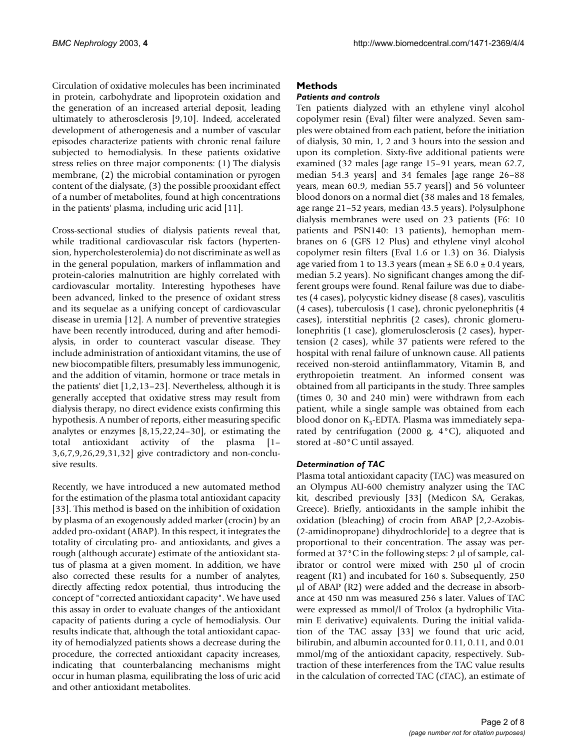Circulation of oxidative molecules has been incriminated in protein, carbohydrate and lipoprotein oxidation and the generation of an increased arterial deposit, leading ultimately to atherosclerosis [9,10]. Indeed, accelerated development of atherogenesis and a number of vascular episodes characterize patients with chronic renal failure subjected to hemodialysis. In these patients oxidative stress relies on three major components: (1) The dialysis membrane, (2) the microbial contamination or pyrogen content of the dialysate, (3) the possible prooxidant effect of a number of metabolites, found at high concentrations in the patients' plasma, including uric acid [11].

Cross-sectional studies of dialysis patients reveal that, while traditional cardiovascular risk factors (hypertension, hypercholesterolemia) do not discriminate as well as in the general population, markers of inflammation and protein-calories malnutrition are highly correlated with cardiovascular mortality. Interesting hypotheses have been advanced, linked to the presence of oxidant stress and its sequelae as a unifying concept of cardiovascular disease in uremia [12]. A number of preventive strategies have been recently introduced, during and after hemodialysis, in order to counteract vascular disease. They include administration of antioxidant vitamins, the use of new biocompatible filters, presumably less immunogenic, and the addition of vitamin, hormone or trace metals in the patients' diet [1,2,13–23]. Nevertheless, although it is generally accepted that oxidative stress may result from dialysis therapy, no direct evidence exists confirming this hypothesis. A number of reports, either measuring specific analytes or enzymes [8,15,22,24–30], or estimating the total antioxidant activity of the plasma [1– 3,6,7,9,26,29,31,32] give contradictory and non-conclusive results.

Recently, we have introduced a new automated method for the estimation of the plasma total antioxidant capacity [33]. This method is based on the inhibition of oxidation by plasma of an exogenously added marker (crocin) by an added pro-oxidant (ABAP). In this respect, it integrates the totality of circulating pro- and antioxidants, and gives a rough (although accurate) estimate of the antioxidant status of plasma at a given moment. In addition, we have also corrected these results for a number of analytes, directly affecting redox potential, thus introducing the concept of "corrected antioxidant capacity". We have used this assay in order to evaluate changes of the antioxidant capacity of patients during a cycle of hemodialysis. Our results indicate that, although the total antioxidant capacity of hemodialyzed patients shows a decrease during the procedure, the corrected antioxidant capacity increases, indicating that counterbalancing mechanisms might occur in human plasma, equilibrating the loss of uric acid and other antioxidant metabolites.

# **Methods**

### *Patients and controls*

Ten patients dialyzed with an ethylene vinyl alcohol copolymer resin (Eval) filter were analyzed. Seven samples were obtained from each patient, before the initiation of dialysis, 30 min, 1, 2 and 3 hours into the session and upon its completion. Sixty-five additional patients were examined (32 males [age range 15–91 years, mean 62.7, median 54.3 years] and 34 females [age range 26–88 years, mean 60.9, median 55.7 years]) and 56 volunteer blood donors on a normal diet (38 males and 18 females, age range 21–52 years, median 43.5 years). Polysulphone dialysis membranes were used on 23 patients (F6: 10 patients and PSN140: 13 patients), hemophan membranes on 6 (GFS 12 Plus) and ethylene vinyl alcohol copolymer resin filters (Eval 1.6 or 1.3) on 36. Dialysis age varied from 1 to 13.3 years (mean  $\pm$  SE 6.0  $\pm$  0.4 years, median 5.2 years). No significant changes among the different groups were found. Renal failure was due to diabetes (4 cases), polycystic kidney disease (8 cases), vasculitis (4 cases), tuberculosis (1 case), chronic pyelonephritis (4 cases), interstitial nephritis (2 cases), chronic glomerulonephritis (1 case), glomerulosclerosis (2 cases), hypertension (2 cases), while 37 patients were refered to the hospital with renal failure of unknown cause. All patients received non-steroid antiinflammatory, Vitamin B, and erythropoietin treatment. An informed consent was obtained from all participants in the study. Three samples (times 0, 30 and 240 min) were withdrawn from each patient, while a single sample was obtained from each blood donor on  $K_3$ -EDTA. Plasma was immediately separated by centrifugation (2000 g, 4°C), aliquoted and stored at -80°C until assayed.

## *Determination of TAC*

Plasma total antioxidant capacity (TAC) was measured on an Olympus AU-600 chemistry analyzer using the TAC kit, described previously [33] (Medicon SA, Gerakas, Greece). Briefly, antioxidants in the sample inhibit the oxidation (bleaching) of crocin from ABAP [2,2-Azobis- (2-amidinopropane) dihydrochloride] to a degree that is proportional to their concentration. The assay was performed at  $37^{\circ}$ C in the following steps: 2 µl of sample, calibrator or control were mixed with 250 µl of crocin reagent (R1) and incubated for 160 s. Subsequently, 250 µl of ABAP (R2) were added and the decrease in absorbance at 450 nm was measured 256 s later. Values of TAC were expressed as mmol/l of Trolox (a hydrophilic Vitamin E derivative) equivalents. During the initial validation of the TAC assay [33] we found that uric acid, bilirubin, and albumin accounted for 0.11, 0.11, and 0.01 mmol/mg of the antioxidant capacity, respectively. Subtraction of these interferences from the TAC value results in the calculation of corrected TAC (cTAC), an estimate of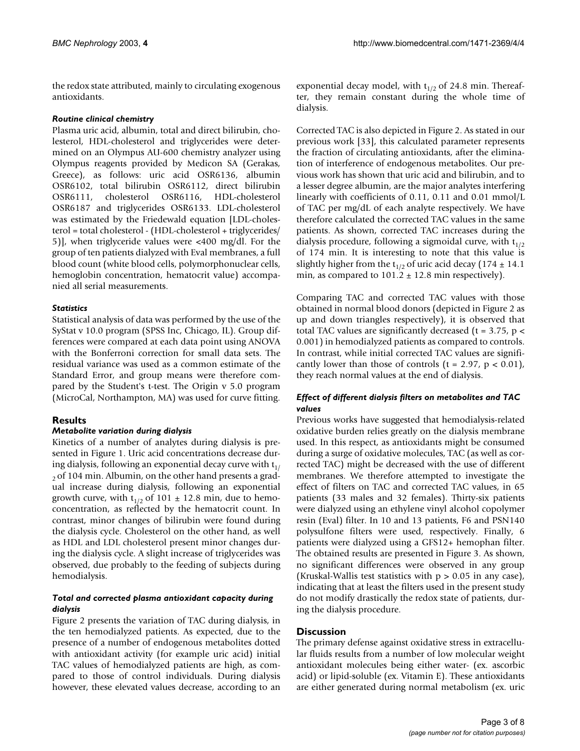the redox state attributed, mainly to circulating exogenous antioxidants.

#### *Routine clinical chemistry*

Plasma uric acid, albumin, total and direct bilirubin, cholesterol, HDL-cholesterol and triglycerides were determined on an Olympus AU-600 chemistry analyzer using Olympus reagents provided by Medicon SA (Gerakas, Greece), as follows: uric acid OSR6136, albumin OSR6102, total bilirubin OSR6112, direct bilirubin OSR6111, cholesterol OSR6116, HDL-cholesterol OSR6187 and triglycerides OSR6133. LDL-cholesterol was estimated by the Friedewald equation [LDL-cholesterol = total cholesterol - (HDL-cholesterol + triglycerides/ 5)], when triglyceride values were <400 mg/dl. For the group of ten patients dialyzed with Eval membranes, a full blood count (white blood cells, polymorphonuclear cells, hemoglobin concentration, hematocrit value) accompanied all serial measurements.

#### *Statistics*

Statistical analysis of data was performed by the use of the SyStat v 10.0 program (SPSS Inc, Chicago, IL). Group differences were compared at each data point using ANOVA with the Bonferroni correction for small data sets. The residual variance was used as a common estimate of the Standard Error, and group means were therefore compared by the Student's t-test. The Origin v 5.0 program (MicroCal, Northampton, MA) was used for curve fitting.

#### **Results**

#### *Metabolite variation during dialysis*

Kinetics of a number of analytes during dialysis is presented in Figure [1](#page-3-0). Uric acid concentrations decrease during dialysis, following an exponential decay curve with  $t_{1/2}$  $2$  of 104 min. Albumin, on the other hand presents a gradual increase during dialysis, following an exponential growth curve, with  $t_{1/2}$  of 101  $\pm$  12.8 min, due to hemoconcentration, as reflected by the hematocrit count. In contrast, minor changes of bilirubin were found during the dialysis cycle. Cholesterol on the other hand, as well as HDL and LDL cholesterol present minor changes during the dialysis cycle. A slight increase of triglycerides was observed, due probably to the feeding of subjects during hemodialysis.

#### *Total and corrected plasma antioxidant capacity during dialysis*

Figure [2](#page-4-0) presents the variation of TAC during dialysis, in the ten hemodialyzed patients. As expected, due to the presence of a number of endogenous metabolites dotted with antioxidant activity (for example uric acid) initial TAC values of hemodialyzed patients are high, as compared to those of control individuals. During dialysis however, these elevated values decrease, according to an

exponential decay model, with  $t_{1/2}$  of 24.8 min. Thereafter, they remain constant during the whole time of dialysis.

Corrected TAC is also depicted in Figure [2.](#page-4-0) As stated in our previous work [33], this calculated parameter represents the fraction of circulating antioxidants, after the elimination of interference of endogenous metabolites. Our previous work has shown that uric acid and bilirubin, and to a lesser degree albumin, are the major analytes interfering linearly with coefficients of 0.11, 0.11 and 0.01 mmol/L of TAC per mg/dL of each analyte respectively. We have therefore calculated the corrected TAC values in the same patients. As shown, corrected TAC increases during the dialysis procedure, following a sigmoidal curve, with  $t_{1/2}$ of 174 min. It is interesting to note that this value is slightly higher from the t<sub>1/2</sub> of uric acid decay (174  $\pm$  14.1 min, as compared to  $101.2 \pm 12.8$  min respectively).

Comparing TAC and corrected TAC values with those obtained in normal blood donors (depicted in Figure [2](#page-4-0) as up and down triangles respectively), it is observed that total TAC values are significantly decreased ( $t = 3.75$ ,  $p <$ 0.001) in hemodialyzed patients as compared to controls. In contrast, while initial corrected TAC values are significantly lower than those of controls  $(t = 2.97, p < 0.01)$ , they reach normal values at the end of dialysis.

#### *Effect of different dialysis filters on metabolites and TAC values*

Previous works have suggested that hemodialysis-related oxidative burden relies greatly on the dialysis membrane used. In this respect, as antioxidants might be consumed during a surge of oxidative molecules, TAC (as well as corrected TAC) might be decreased with the use of different membranes. We therefore attempted to investigate the effect of filters on TAC and corrected TAC values, in 65 patients (33 males and 32 females). Thirty-six patients were dialyzed using an ethylene vinyl alcohol copolymer resin (Eval) filter. In 10 and 13 patients, F6 and PSN140 polysulfone filters were used, respectively. Finally, 6 patients were dialyzed using a GFS12+ hemophan filter. The obtained results are presented in Figure [3.](#page-4-1) As shown, no significant differences were observed in any group (Kruskal-Wallis test statistics with  $p > 0.05$  in any case), indicating that at least the filters used in the present study do not modify drastically the redox state of patients, during the dialysis procedure.

#### **Discussion**

The primary defense against oxidative stress in extracellular fluids results from a number of low molecular weight antioxidant molecules being either water- (ex. ascorbic acid) or lipid-soluble (ex. Vitamin E). These antioxidants are either generated during normal metabolism (ex. uric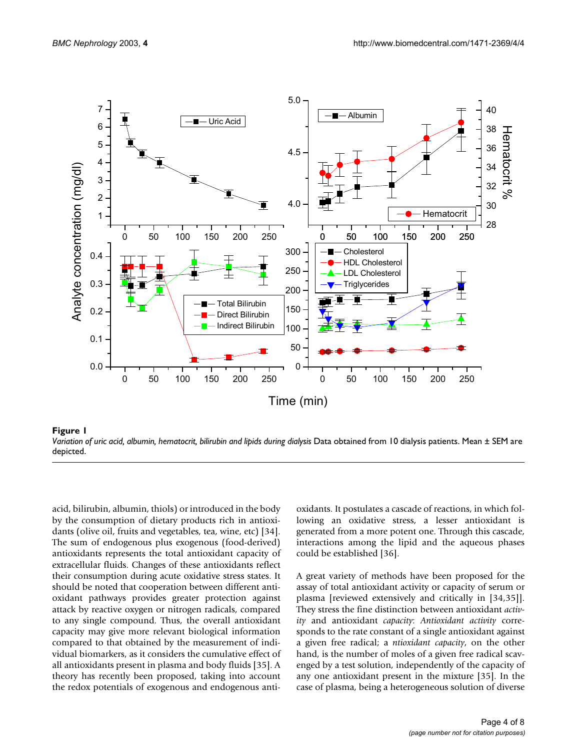<span id="page-3-0"></span>

**Figure 1** *Variation of uric acid, albumin, hematocrit, bilirubin and lipids during dialysis.* Data obtained from 10 dialysis patients *Variation of uric acid, albumin, hematocrit, bilirubin and lipids during dialysis* Data obtained from 10 dialysis patients. Mean ± SEM are depicted.

acid, bilirubin, albumin, thiols) or introduced in the body by the consumption of dietary products rich in antioxidants (olive oil, fruits and vegetables, tea, wine, etc) [34]. The sum of endogenous plus exogenous (food-derived) antioxidants represents the total antioxidant capacity of extracellular fluids. Changes of these antioxidants reflect their consumption during acute oxidative stress states. It should be noted that cooperation between different antioxidant pathways provides greater protection against attack by reactive oxygen or nitrogen radicals, compared to any single compound. Thus, the overall antioxidant capacity may give more relevant biological information compared to that obtained by the measurement of individual biomarkers, as it considers the cumulative effect of all antioxidants present in plasma and body fluids [35]. A theory has recently been proposed, taking into account the redox potentials of exogenous and endogenous antioxidants. It postulates a cascade of reactions, in which following an oxidative stress, a lesser antioxidant is generated from a more potent one. Through this cascade, interactions among the lipid and the aqueous phases could be established [36].

A great variety of methods have been proposed for the assay of total antioxidant activity or capacity of serum or plasma [reviewed extensively and critically in [34,35]]. They stress the fine distinction between antioxidant *activity* and antioxidant *capacity*: *Antioxidant activity* corresponds to the rate constant of a single antioxidant against a given free radical; a *ntioxidant capacity*, on the other hand, is the number of moles of a given free radical scavenged by a test solution, independently of the capacity of any one antioxidant present in the mixture [35]. In the case of plasma, being a heterogeneous solution of diverse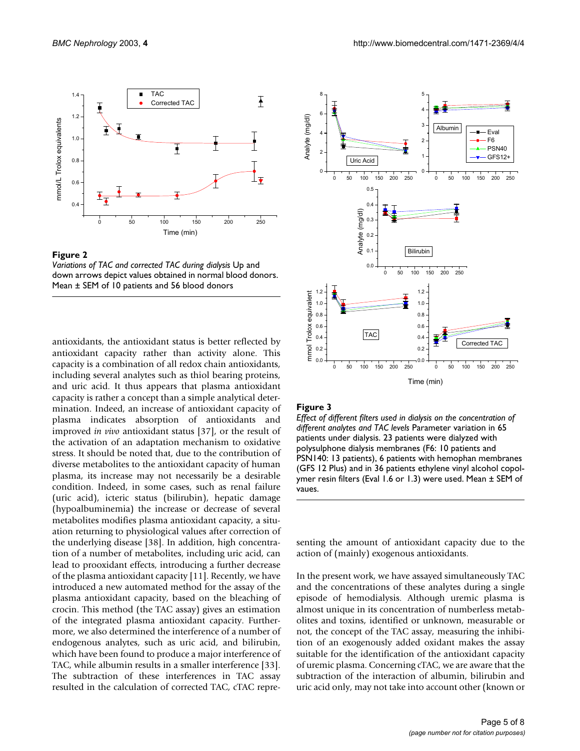<span id="page-4-0"></span>

**Figure 2** *Variations of TAC and correct* down arrows depict values obta *ed TAC during* ined in normal *dialysis.* blood donors Up and *Variations of TAC and corrected TAC during dialysis* Up and down arrows depict values obtained in normal blood donors. Mean ± SEM of 10 patients and 56 blood donors

antioxidants, the antioxidant status is better reflected by antioxidant capacity rather than activity alone. This capacity is a combination of all redox chain antioxidants, including several analytes such as thiol bearing proteins, and uric acid. It thus appears that plasma antioxidant capacity is rather a concept than a simple analytical determination. Indeed, an increase of antioxidant capacity of plasma indicates absorption of antioxidants and improved *in vivo* antioxidant status [37], or the result of the activation of an adaptation mechanism to oxidative stress. It should be noted that, due to the contribution of diverse metabolites to the antioxidant capacity of human plasma, its increase may not necessarily be a desirable condition. Indeed, in some cases, such as renal failure (uric acid), icteric status (bilirubin), hepatic damage (hypoalbuminemia) the increase or decrease of several metabolites modifies plasma antioxidant capacity, a situation returning to physiological values after correction of the underlying disease [38]. In addition, high concentration of a number of metabolites, including uric acid, can lead to prooxidant effects, introducing a further decrease of the plasma antioxidant capacity [11]. Recently, we have introduced a new automated method for the assay of the plasma antioxidant capacity, based on the bleaching of crocin. This method (the TAC assay) gives an estimation of the integrated plasma antioxidant capacity. Furthermore, we also determined the interference of a number of endogenous analytes, such as uric acid, and bilirubin, which have been found to produce a major interference of TAC, while albumin results in a smaller interference [33]. The subtraction of these interferences in TAC assay resulted in the calculation of corrected TAC, cTAC repre-

<span id="page-4-1"></span>

#### *Effect of different filters used in different analytes and TAC levels.* patients under dialysis **Figure 3** *dialysis on the* Parameter variation in 65 *concentration of*

*Effect of different filters used in dialysis on the concentration of different analytes and TAC levels* Parameter variation in 65 patients under dialysis. 23 patients were dialyzed with polysulphone dialysis membranes (F6: 10 patients and PSN140: 13 patients), 6 patients with hemophan membranes (GFS 12 Plus) and in 36 patients ethylene vinyl alcohol copolymer resin filters (Eval 1.6 or 1.3) were used. Mean ± SEM of vaues.

senting the amount of antioxidant capacity due to the action of (mainly) exogenous antioxidants.

In the present work, we have assayed simultaneously TAC and the concentrations of these analytes during a single episode of hemodialysis. Although uremic plasma is almost unique in its concentration of numberless metabolites and toxins, identified or unknown, measurable or not, the concept of the TAC assay, measuring the inhibition of an exogenously added oxidant makes the assay suitable for the identification of the antioxidant capacity of uremic plasma. Concerning cTAC, we are aware that the subtraction of the interaction of albumin, bilirubin and uric acid only, may not take into account other (known or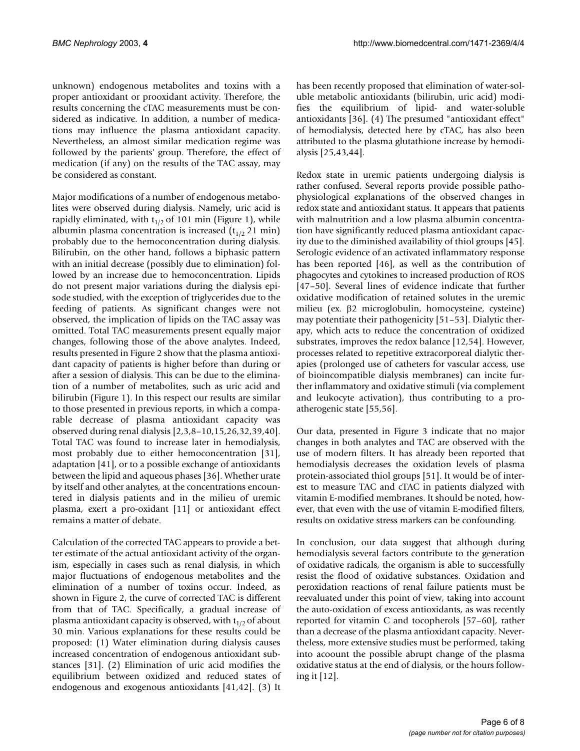unknown) endogenous metabolites and toxins with a proper antioxidant or prooxidant activity. Therefore, the results concerning the cTAC measurements must be considered as indicative. In addition, a number of medications may influence the plasma antioxidant capacity. Nevertheless, an almost similar medication regime was followed by the parients' group. Therefore, the effect of medication (if any) on the results of the TAC assay, may be considered as constant.

Major modifications of a number of endogenous metabolites were observed during dialysis. Namely, uric acid is rapidly eliminated, with  $t_{1/2}$  of 101 min (Figure [1\)](#page-3-0), while albumin plasma concentration is increased  $(t_{1/2} 21 \text{ min})$ probably due to the hemoconcentration during dialysis. Bilirubin, on the other hand, follows a biphasic pattern with an initial decrease (possibly due to elimination) followed by an increase due to hemoconcentration. Lipids do not present major variations during the dialysis episode studied, with the exception of triglycerides due to the feeding of patients. As significant changes were not observed, the implication of lipids on the TAC assay was omitted. Total TAC measurements present equally major changes, following those of the above analytes. Indeed, results presented in Figure [2](#page-4-0) show that the plasma antioxidant capacity of patients is higher before than during or after a session of dialysis. This can be due to the elimination of a number of metabolites, such as uric acid and bilirubin (Figure [1](#page-3-0)). In this respect our results are similar to those presented in previous reports, in which a comparable decrease of plasma antioxidant capacity was observed during renal dialysis [2,3,8–10,15,26,32,39,40]. Total TAC was found to increase later in hemodialysis, most probably due to either hemoconcentration [31], adaptation [41], or to a possible exchange of antioxidants between the lipid and aqueous phases [36]. Whether urate by itself and other analytes, at the concentrations encountered in dialysis patients and in the milieu of uremic plasma, exert a pro-oxidant [11] or antioxidant effect remains a matter of debate.

Calculation of the corrected TAC appears to provide a better estimate of the actual antioxidant activity of the organism, especially in cases such as renal dialysis, in which major fluctuations of endogenous metabolites and the elimination of a number of toxins occur. Indeed, as shown in Figure [2](#page-4-0), the curve of corrected TAC is different from that of TAC. Specifically, a gradual increase of plasma antioxidant capacity is observed, with  $t_{1/2}$  of about 30 min. Various explanations for these results could be proposed: (1) Water elimination during dialysis causes increased concentration of endogenous antioxidant substances [31]. (2) Elimination of uric acid modifies the equilibrium between oxidized and reduced states of endogenous and exogenous antioxidants [41,42]. (3) It

has been recently proposed that elimination of water-soluble metabolic antioxidants (bilirubin, uric acid) modifies the equilibrium of lipid- and water-soluble antioxidants [36]. (4) The presumed "antioxidant effect" of hemodialysis, detected here by cTAC, has also been attributed to the plasma glutathione increase by hemodialysis [25,43,44].

Redox state in uremic patients undergoing dialysis is rather confused. Several reports provide possible pathophysiological explanations of the observed changes in redox state and antioxidant status. It appears that patients with malnutrition and a low plasma albumin concentration have significantly reduced plasma antioxidant capacity due to the diminished availability of thiol groups [45]. Serologic evidence of an activated inflammatory response has been reported [46], as well as the contribution of phagocytes and cytokines to increased production of ROS [47–50]. Several lines of evidence indicate that further oxidative modification of retained solutes in the uremic milieu (ex. β2 microglobulin, homocysteine, cysteine) may potentiate their pathogenicity [51–53]. Dialytic therapy, which acts to reduce the concentration of oxidized substrates, improves the redox balance [12,54]. However, processes related to repetitive extracorporeal dialytic therapies (prolonged use of catheters for vascular access, use of bioincompatible dialysis membranes) can incite further inflammatory and oxidative stimuli (via complement and leukocyte activation), thus contributing to a proatherogenic state [55,56].

Our data, presented in Figure [3](#page-4-1) indicate that no major changes in both analytes and TAC are observed with the use of modern filters. It has already been reported that hemodialysis decreases the oxidation levels of plasma protein-associated thiol groups [51]. It would be of interest to measure TAC and cTAC in patients dialyzed with vitamin E-modified membranes. It should be noted, however, that even with the use of vitamin E-modified filters, results on oxidative stress markers can be confounding.

In conclusion, our data suggest that although during hemodialysis several factors contribute to the generation of oxidative radicals, the organism is able to successfully resist the flood of oxidative substances. Oxidation and peroxidation reactions of renal failure patients must be reevaluated under this point of view, taking into account the auto-oxidation of excess antioxidants, as was recently reported for vitamin C and tocopherols [57–60], rather than a decrease of the plasma antioxidant capacity. Nevertheless, more extensive studies must be performed, taking into acoount the possible abrupt change of the plasma oxidative status at the end of dialysis, or the hours following it [12].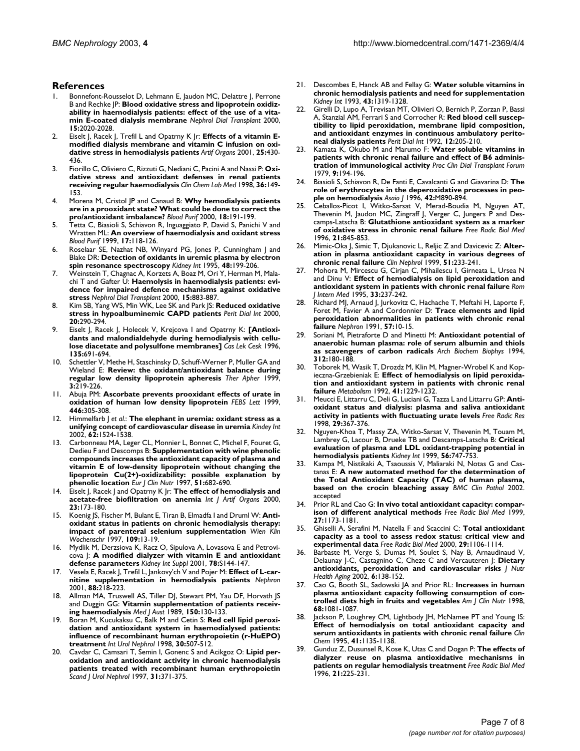#### **References**

- Bonnefont-Rousselot D, Lehmann E, Jaudon MC, Delattre J, Perrone B and Rechke JP: **[Blood oxidative stress and lipoprotein oxidiz](http://www.ncbi.nlm.nih.gov/entrez/query.fcgi?cmd=Retrieve&db=PubMed&dopt=Abstract&list_uids=11096149)[ability in haemodialysis patients: effect of the use of a vita](http://www.ncbi.nlm.nih.gov/entrez/query.fcgi?cmd=Retrieve&db=PubMed&dopt=Abstract&list_uids=11096149)[min E-coated dialysis membrane](http://www.ncbi.nlm.nih.gov/entrez/query.fcgi?cmd=Retrieve&db=PubMed&dopt=Abstract&list_uids=11096149)** *Nephrol Dial Transplant* 2000, **15:**2020-2028.
- 2. Eiselt J, Racek J, Trefil L and Opatrny K Jr: **[Effects of a vitamin E](http://www.ncbi.nlm.nih.gov/entrez/query.fcgi?cmd=Retrieve&db=PubMed&dopt=Abstract&list_uids=11453871)[modified dialysis membrane and vitamin C infusion on oxi](http://www.ncbi.nlm.nih.gov/entrez/query.fcgi?cmd=Retrieve&db=PubMed&dopt=Abstract&list_uids=11453871)[dative stress in hemodialysis patients](http://www.ncbi.nlm.nih.gov/entrez/query.fcgi?cmd=Retrieve&db=PubMed&dopt=Abstract&list_uids=11453871)** *Artif Organs* 2001, **25:**430- 436.
- 3. Fiorillo C, Oliviero C, Rizzuti G, Nediani C, Pacini A and Nassi P: **[Oxi](http://www.ncbi.nlm.nih.gov/entrez/query.fcgi?cmd=Retrieve&db=PubMed&dopt=Abstract&list_uids=9589802)[dative stress and antioxidant defenses in renal patients](http://www.ncbi.nlm.nih.gov/entrez/query.fcgi?cmd=Retrieve&db=PubMed&dopt=Abstract&list_uids=9589802) [receiving regular haemodialysis](http://www.ncbi.nlm.nih.gov/entrez/query.fcgi?cmd=Retrieve&db=PubMed&dopt=Abstract&list_uids=9589802)** *Clin Chem Lab Med* 1998, **36:**149- 153.
- 4. Morena M, Cristol JP and Canaud B: **[Why hemodialysis patients](http://www.ncbi.nlm.nih.gov/entrez/query.fcgi?cmd=Retrieve&db=PubMed&dopt=Abstract&list_uids=10859422) [are in a prooxidant state? What could be done to correct the](http://www.ncbi.nlm.nih.gov/entrez/query.fcgi?cmd=Retrieve&db=PubMed&dopt=Abstract&list_uids=10859422) [pro/antioxidant imbalance?](http://www.ncbi.nlm.nih.gov/entrez/query.fcgi?cmd=Retrieve&db=PubMed&dopt=Abstract&list_uids=10859422)** *Blood Purif* 2000, **18:**191-199.
- 5. Tetta C, Biasioli S, Schiavon R, Inguaggiato P, David S, Panichi V and Wratten ML: **[An overview of haemodialysis and oxidant stress](http://www.ncbi.nlm.nih.gov/entrez/query.fcgi?cmd=Retrieve&db=PubMed&dopt=Abstract&list_uids=10449869)** *Blood Purif* 1999, **17:**118-126.
- 6. Roselaar SE, Nazhat NB, Winyard PG, Jones P, Cunningham J and Blake DR: **[Detection of oxidants in uremic plasma by electron](http://www.ncbi.nlm.nih.gov/entrez/query.fcgi?cmd=Retrieve&db=PubMed&dopt=Abstract&list_uids=7564078) [spin resonance spectroscopy](http://www.ncbi.nlm.nih.gov/entrez/query.fcgi?cmd=Retrieve&db=PubMed&dopt=Abstract&list_uids=7564078)** *Kidney Int* 1995, **48:**199-206.
- 7. Weinstein T, Chagnac A, Korzets A, Boaz M, Ori Y, Herman M, Malachi T and Gafter U: **[Haemolysis in haemodialysis patients: evi](http://www.ncbi.nlm.nih.gov/entrez/query.fcgi?cmd=Retrieve&db=PubMed&dopt=Abstract&list_uids=10831646)[dence for impaired defence mechanisms against oxidative](http://www.ncbi.nlm.nih.gov/entrez/query.fcgi?cmd=Retrieve&db=PubMed&dopt=Abstract&list_uids=10831646) [stress](http://www.ncbi.nlm.nih.gov/entrez/query.fcgi?cmd=Retrieve&db=PubMed&dopt=Abstract&list_uids=10831646)** *Nephrol Dial Transplant* 2000, **15:**883-887.
- 8. Kim SB, Yang WS, Min WK, Lee SK and Park JS: **[Reduced oxidative](http://www.ncbi.nlm.nih.gov/entrez/query.fcgi?cmd=Retrieve&db=PubMed&dopt=Abstract&list_uids=10898045) [stress in hypoalbuminemic CAPD patients](http://www.ncbi.nlm.nih.gov/entrez/query.fcgi?cmd=Retrieve&db=PubMed&dopt=Abstract&list_uids=10898045)** *Perit Dial Int* 2000, **20:**290-294.
- Eiselt J, Racek J, Holecek V, Krejcova I and Opatrny K: [\[Antioxi](http://www.ncbi.nlm.nih.gov/entrez/query.fcgi?cmd=Retrieve&db=PubMed&dopt=Abstract&list_uids=8998818)**[dants and malondialdehyde during hemodialysis with cellu](http://www.ncbi.nlm.nih.gov/entrez/query.fcgi?cmd=Retrieve&db=PubMed&dopt=Abstract&list_uids=8998818)[lose diacetate and polysulfone membranes\]](http://www.ncbi.nlm.nih.gov/entrez/query.fcgi?cmd=Retrieve&db=PubMed&dopt=Abstract&list_uids=8998818)** *Cas Lek Cesk* 1996, **135:**691-694.
- 10. Schettler V, Methe H, Staschinsky D, Schuff-Werner P, Muller GA and Wieland E: **[Review: the oxidant/antioxidant balance during](http://www.ncbi.nlm.nih.gov/entrez/query.fcgi?cmd=Retrieve&db=PubMed&dopt=Abstract&list_uids=10427619) [regular low density lipoprotein apheresis](http://www.ncbi.nlm.nih.gov/entrez/query.fcgi?cmd=Retrieve&db=PubMed&dopt=Abstract&list_uids=10427619)** *Ther Apher* 1999, **3:**219-226.
- 11. Abuja PM: **[Ascorbate prevents prooxidant effects of urate in](http://www.ncbi.nlm.nih.gov/entrez/query.fcgi?cmd=Retrieve&db=PubMed&dopt=Abstract&list_uids=10100863) [oxidation of human low density lipoprotein](http://www.ncbi.nlm.nih.gov/entrez/query.fcgi?cmd=Retrieve&db=PubMed&dopt=Abstract&list_uids=10100863)** *FEBS Lett* 1999, **446:**305-308.
- 12. Himmelfarb J *et al.*: **The elephant in uremia: oxidant stress as a unifying concept of cardiovascular disease in uremia** *Kindey Int* 2002, **62:**1524-1538.
- Carbonneau MA, Leger CL, Monnier L, Bonnet C, Michel F, Fouret G, Dedieu F and Descomps B: **[Supplementation with wine phenolic](http://www.ncbi.nlm.nih.gov/entrez/query.fcgi?cmd=Retrieve&db=PubMed&dopt=Abstract&list_uids=9347289) [compounds increases the antioxidant capacity of plasma and](http://www.ncbi.nlm.nih.gov/entrez/query.fcgi?cmd=Retrieve&db=PubMed&dopt=Abstract&list_uids=9347289) vitamin E of low-density lipoprotein without changing the lipoprotein Cu(2+)-oxidizability: possible explanation by [phenolic location](http://www.ncbi.nlm.nih.gov/entrez/query.fcgi?cmd=Retrieve&db=PubMed&dopt=Abstract&list_uids=9347289)** *Eur J Clin Nutr* 1997, **51:**682-690.
- 14. Eiselt J, Racek J and Opatrny K Jr: **[The effect of hemodialysis and](http://www.ncbi.nlm.nih.gov/entrez/query.fcgi?cmd=Retrieve&db=PubMed&dopt=Abstract&list_uids=10795662) [acetate-free biofiltration on anemia](http://www.ncbi.nlm.nih.gov/entrez/query.fcgi?cmd=Retrieve&db=PubMed&dopt=Abstract&list_uids=10795662)** *Int J Artif Organs* 2000, **23:**173-180.
- 15. Koenig JS, Fischer M, Bulant E, Tiran B, Elmadfa I and Druml W: **[Anti](http://www.ncbi.nlm.nih.gov/entrez/query.fcgi?cmd=Retrieve&db=PubMed&dopt=Abstract&list_uids=9037743)[oxidant status in patients on chronic hemodialysis therapy:](http://www.ncbi.nlm.nih.gov/entrez/query.fcgi?cmd=Retrieve&db=PubMed&dopt=Abstract&list_uids=9037743) [impact of parenteral selenium supplementation](http://www.ncbi.nlm.nih.gov/entrez/query.fcgi?cmd=Retrieve&db=PubMed&dopt=Abstract&list_uids=9037743)** *Wien Klin Wochenschr* 1997, **109:**13-19.
- 16. Mydlik M, Derzsiova K, Racz O, Sipulova A, Lovasova E and Petrovicova J: **[A modified dialyzer with vitamin E and antioxidant](http://www.ncbi.nlm.nih.gov/entrez/query.fcgi?cmd=Retrieve&db=PubMed&dopt=Abstract&list_uids=11169000) [defense parameters](http://www.ncbi.nlm.nih.gov/entrez/query.fcgi?cmd=Retrieve&db=PubMed&dopt=Abstract&list_uids=11169000)** *Kidney Int Suppl* 2001, **78:**S144-147.
- 17. Vesela E, Racek J, Trefil L, Jankovy'ch V and Pojer M: **[Effect of L-car](http://www.ncbi.nlm.nih.gov/entrez/query.fcgi?cmd=Retrieve&db=PubMed&dopt=Abstract&list_uids=11423752)[nitine supplementation in hemodialysis patients](http://www.ncbi.nlm.nih.gov/entrez/query.fcgi?cmd=Retrieve&db=PubMed&dopt=Abstract&list_uids=11423752)** *Nephron* 2001, **88:**218-223.
- 18. Allman MA, Truswell AS, Tiller DJ, Stewart PM, Yau DF, Horvath JS and Duggin GG: **[Vitamin supplementation of patients receiv](http://www.ncbi.nlm.nih.gov/entrez/query.fcgi?cmd=Retrieve&db=PubMed&dopt=Abstract&list_uids=2716581)[ing haemodialysis](http://www.ncbi.nlm.nih.gov/entrez/query.fcgi?cmd=Retrieve&db=PubMed&dopt=Abstract&list_uids=2716581)** *Med J Aust* 1989, **150:**130-133.
- 19. Boran M, Kucukaksu C, Balk M and Cetin S: **[Red cell lipid peroxi](http://www.ncbi.nlm.nih.gov/entrez/query.fcgi?cmd=Retrieve&db=PubMed&dopt=Abstract&list_uids=9821056)[dation and antioxidant system in haemodialysed patients:](http://www.ncbi.nlm.nih.gov/entrez/query.fcgi?cmd=Retrieve&db=PubMed&dopt=Abstract&list_uids=9821056) influence of recombinant human erythropoietin (r-HuEPO) [treatment](http://www.ncbi.nlm.nih.gov/entrez/query.fcgi?cmd=Retrieve&db=PubMed&dopt=Abstract&list_uids=9821056)** *Int Urol Nephrol* 1998, **30:**507-512.
- 20. Cavdar C, Camsari T, Semin I, Gonenc S and Acikgoz O: **[Lipid per](http://www.ncbi.nlm.nih.gov/entrez/query.fcgi?cmd=Retrieve&db=PubMed&dopt=Abstract&list_uids=9290168)[oxidation and antioxidant activity in chronic haemodialysis](http://www.ncbi.nlm.nih.gov/entrez/query.fcgi?cmd=Retrieve&db=PubMed&dopt=Abstract&list_uids=9290168) patients treated with recombinant human erythropoietin** *Scand J Urol Nephrol* 1997, **31:**371-375.
- 21. Descombes E, Hanck AB and Fellay G: **[Water soluble vitamins in](http://www.ncbi.nlm.nih.gov/entrez/query.fcgi?cmd=Retrieve&db=PubMed&dopt=Abstract&list_uids=8315945) [chronic hemodialysis patients and need for supplementation](http://www.ncbi.nlm.nih.gov/entrez/query.fcgi?cmd=Retrieve&db=PubMed&dopt=Abstract&list_uids=8315945)** *Kidney Int* 1993, **43:**1319-1328.
- 22. Girelli D, Lupo A, Trevisan MT, Olivieri O, Bernich P, Zorzan P, Bassi A, Stanzial AM, Ferrari S and Corrocher R: **[Red blood cell suscep](http://www.ncbi.nlm.nih.gov/entrez/query.fcgi?cmd=Retrieve&db=PubMed&dopt=Abstract&list_uids=1586681)tibility to lipid peroxidation, membrane lipid composition, [and antioxidant enzymes in continuous ambulatory perito](http://www.ncbi.nlm.nih.gov/entrez/query.fcgi?cmd=Retrieve&db=PubMed&dopt=Abstract&list_uids=1586681)[neal dialysis patients](http://www.ncbi.nlm.nih.gov/entrez/query.fcgi?cmd=Retrieve&db=PubMed&dopt=Abstract&list_uids=1586681)** *Perit Dial Int* 1992, **12:**205-210.
- 23. Kamata K, Okubo M and Marumo F: **[Water soluble vitamins in](http://www.ncbi.nlm.nih.gov/entrez/query.fcgi?cmd=Retrieve&db=PubMed&dopt=Abstract&list_uids=552042) [patients with chronic renal failure and effect of B6 adminis](http://www.ncbi.nlm.nih.gov/entrez/query.fcgi?cmd=Retrieve&db=PubMed&dopt=Abstract&list_uids=552042)[tration of immunological activity](http://www.ncbi.nlm.nih.gov/entrez/query.fcgi?cmd=Retrieve&db=PubMed&dopt=Abstract&list_uids=552042)** *Proc Clin Dial Transplant Forum* 1979, **9:**194-196.
- 24. Biasioli S, Schiavon R, De Fanti E, Cavalcanti G and Giavarina D: **[The](http://www.ncbi.nlm.nih.gov/entrez/query.fcgi?cmd=Retrieve&db=PubMed&dopt=Abstract&list_uids=8945013) [role of erythrocytes in the deperoxidative processes in peo](http://www.ncbi.nlm.nih.gov/entrez/query.fcgi?cmd=Retrieve&db=PubMed&dopt=Abstract&list_uids=8945013)[ple on hemodialysis](http://www.ncbi.nlm.nih.gov/entrez/query.fcgi?cmd=Retrieve&db=PubMed&dopt=Abstract&list_uids=8945013)** *Asaio J* 1996, **42:**M890-894.
- 25. Ceballos-Picot I, Witko-Sarsat V, Merad-Boudia M, Nguyen AT, Thevenin M, Jaudon MC, Zingraff J, Verger C, Jungers P and Descamps-Latscha B: **[Glutathione antioxidant system as a marker](http://www.ncbi.nlm.nih.gov/entrez/query.fcgi?cmd=Retrieve&db=PubMed&dopt=Abstract&list_uids=8902530) [of oxidative stress in chronic renal failure](http://www.ncbi.nlm.nih.gov/entrez/query.fcgi?cmd=Retrieve&db=PubMed&dopt=Abstract&list_uids=8902530)** *Free Radic Biol Med* 1996, **21:**845-853.
- 26. Mimic-Oka J, Simic T, Djukanovic L, Reljic Z and Davicevic Z: **[Alter](http://www.ncbi.nlm.nih.gov/entrez/query.fcgi?cmd=Retrieve&db=PubMed&dopt=Abstract&list_uids=10230556)[ation in plasma antioxidant capacity in various degrees of](http://www.ncbi.nlm.nih.gov/entrez/query.fcgi?cmd=Retrieve&db=PubMed&dopt=Abstract&list_uids=10230556) [chronic renal failure](http://www.ncbi.nlm.nih.gov/entrez/query.fcgi?cmd=Retrieve&db=PubMed&dopt=Abstract&list_uids=10230556)** *Clin Nephrol* 1999, **51:**233-241.
- 27. Mohora M, Mircescu G, Cirjan C, Mihailescu I, Girneata L, Ursea N and Dinu V: **[Effect of hemodialysis on lipid peroxidation and](http://www.ncbi.nlm.nih.gov/entrez/query.fcgi?cmd=Retrieve&db=PubMed&dopt=Abstract&list_uids=8646196) [antioxidant system in patients with chronic renal failure](http://www.ncbi.nlm.nih.gov/entrez/query.fcgi?cmd=Retrieve&db=PubMed&dopt=Abstract&list_uids=8646196)** *Rom J Intern Med* 1995, **33:**237-242.
- 28. Richard MJ, Arnaud J, Jurkovitz C, Hachache T, Meftahi H, Laporte F, Foret M, Favier A and Cordonnier D: **[Trace elements and lipid](http://www.ncbi.nlm.nih.gov/entrez/query.fcgi?cmd=Retrieve&db=PubMed&dopt=Abstract&list_uids=2046801) [peroxidation abnormalities in patients with chronic renal](http://www.ncbi.nlm.nih.gov/entrez/query.fcgi?cmd=Retrieve&db=PubMed&dopt=Abstract&list_uids=2046801) [failure](http://www.ncbi.nlm.nih.gov/entrez/query.fcgi?cmd=Retrieve&db=PubMed&dopt=Abstract&list_uids=2046801)** *Nephron* 1991, **57:**10-15.
- 29. Soriani M, Pietraforte D and Minetti M: **[Antioxidant potential of](http://www.ncbi.nlm.nih.gov/entrez/query.fcgi?cmd=Retrieve&db=PubMed&dopt=Abstract&list_uids=8031126) [anaerobic human plasma: role of serum albumin and thiols](http://www.ncbi.nlm.nih.gov/entrez/query.fcgi?cmd=Retrieve&db=PubMed&dopt=Abstract&list_uids=8031126) [as scavengers of carbon radicals](http://www.ncbi.nlm.nih.gov/entrez/query.fcgi?cmd=Retrieve&db=PubMed&dopt=Abstract&list_uids=8031126)** *Arch Biochem Biophys* 1994, **312:**180-188.
- 30. Toborek M, Wasik T, Drozdz M, Klin M, Magner-Wrobel K and Kopieczna-Grzebieniak E: **[Effect of hemodialysis on lipid peroxida](http://www.ncbi.nlm.nih.gov/entrez/query.fcgi?cmd=Retrieve&db=PubMed&dopt=Abstract&list_uids=1435296)[tion and antioxidant system in patients with chronic renal](http://www.ncbi.nlm.nih.gov/entrez/query.fcgi?cmd=Retrieve&db=PubMed&dopt=Abstract&list_uids=1435296) [failure](http://www.ncbi.nlm.nih.gov/entrez/query.fcgi?cmd=Retrieve&db=PubMed&dopt=Abstract&list_uids=1435296)** *Metabolism* 1992, **41:**1229-1232.
- 31. Meucci E, Littarru C, Deli G, Luciani G, Tazza L and Littarru GP: **[Anti](http://www.ncbi.nlm.nih.gov/entrez/query.fcgi?cmd=Retrieve&db=PubMed&dopt=Abstract&list_uids=9925029)[oxidant status and dialysis: plasma and saliva antioxidant](http://www.ncbi.nlm.nih.gov/entrez/query.fcgi?cmd=Retrieve&db=PubMed&dopt=Abstract&list_uids=9925029) [activity in patients with fluctuating urate levels](http://www.ncbi.nlm.nih.gov/entrez/query.fcgi?cmd=Retrieve&db=PubMed&dopt=Abstract&list_uids=9925029)** *Free Radic Res* 1998, **29:**367-376.
- 32. Nguyen-Khoa T, Massy ZA, Witko-Sarsat V, Thevenin M, Touam M, Lambrey G, Lacour B, Drueke TB and Descamps-Latscha B: **[Critical](http://www.ncbi.nlm.nih.gov/entrez/query.fcgi?cmd=Retrieve&db=PubMed&dopt=Abstract&list_uids=10432417) [evaluation of plasma and LDL oxidant-trapping potential in](http://www.ncbi.nlm.nih.gov/entrez/query.fcgi?cmd=Retrieve&db=PubMed&dopt=Abstract&list_uids=10432417) [hemodialysis patients](http://www.ncbi.nlm.nih.gov/entrez/query.fcgi?cmd=Retrieve&db=PubMed&dopt=Abstract&list_uids=10432417)** *Kidney Int* 1999, **56:**747-753.
- Kampa M, Nistikaki A, Tsaoussis V, Maliaraki N, Notas G and Castanas E: **A new automated method for the determination of the Total Antioxidant Capacity (TAC) of human plasma, based on the crocin bleaching assay** *BMC Clin Pathol* 2002. accepted
- 34. Prior RL and Cao G: **[In vivo total antioxidant capacity: compar](http://www.ncbi.nlm.nih.gov/entrez/query.fcgi?cmd=Retrieve&db=PubMed&dopt=Abstract&list_uids=10641708)[ison of different analytical methods](http://www.ncbi.nlm.nih.gov/entrez/query.fcgi?cmd=Retrieve&db=PubMed&dopt=Abstract&list_uids=10641708)** *Free Radic Biol Med* 1999, **27:**1173-1181.
- 35. Ghiselli A, Serafini M, Natella F and Scaccini C: **[Total antioxidant](http://www.ncbi.nlm.nih.gov/entrez/query.fcgi?cmd=Retrieve&db=PubMed&dopt=Abstract&list_uids=11121717) [capacity as a tool to assess redox status: critical view and](http://www.ncbi.nlm.nih.gov/entrez/query.fcgi?cmd=Retrieve&db=PubMed&dopt=Abstract&list_uids=11121717) [experimental data](http://www.ncbi.nlm.nih.gov/entrez/query.fcgi?cmd=Retrieve&db=PubMed&dopt=Abstract&list_uids=11121717)** *Free Radic Biol Med* 2000, **29:**1106-1114.
- Barbaste M, Verge S, Dumas M, Soulet S, Nay B, Arnaudinaud V, Delaunay J-C, Castagnino C, Cheze C and Vercauteren J: **[Dietary](http://www.ncbi.nlm.nih.gov/entrez/query.fcgi?cmd=Retrieve&db=PubMed&dopt=Abstract&list_uids=12166369) [antioxidants, peroxidation and cardiovascular risks](http://www.ncbi.nlm.nih.gov/entrez/query.fcgi?cmd=Retrieve&db=PubMed&dopt=Abstract&list_uids=12166369)** *J Nutr Health Aging* 2002, **6:**138-152.
- 37. Cao G, Booth SL, Sadowski JA and Prior RL: **[Increases in human](http://www.ncbi.nlm.nih.gov/entrez/query.fcgi?cmd=Retrieve&db=PubMed&dopt=Abstract&list_uids=9808226) [plasma antioxidant capacity following consumption of con](http://www.ncbi.nlm.nih.gov/entrez/query.fcgi?cmd=Retrieve&db=PubMed&dopt=Abstract&list_uids=9808226)[trolled diets high in fruits and vegetables](http://www.ncbi.nlm.nih.gov/entrez/query.fcgi?cmd=Retrieve&db=PubMed&dopt=Abstract&list_uids=9808226)** *Am J Clin Nutr* 1998, **68:**1081-1087.
- 38. Jackson P, Loughrey CM, Lightbody JH, McNamee PT and Young IS: **[Effect of hemodialysis on total antioxidant capacity and](http://www.ncbi.nlm.nih.gov/entrez/query.fcgi?cmd=Retrieve&db=PubMed&dopt=Abstract&list_uids=7628087) [serum antioxidants in patients with chronic renal failure](http://www.ncbi.nlm.nih.gov/entrez/query.fcgi?cmd=Retrieve&db=PubMed&dopt=Abstract&list_uids=7628087)** *Clin Chem* 1995, **41:**1135-1138.
- 39. Gunduz Z, Dusunsel R, Kose K, Utas C and Dogan P: **[The effects of](http://www.ncbi.nlm.nih.gov/entrez/query.fcgi?cmd=Retrieve&db=PubMed&dopt=Abstract&list_uids=8818638) [dialyzer reuse on plasma antioxidative mechanisms in](http://www.ncbi.nlm.nih.gov/entrez/query.fcgi?cmd=Retrieve&db=PubMed&dopt=Abstract&list_uids=8818638) [patients on regular hemodialysis treatment](http://www.ncbi.nlm.nih.gov/entrez/query.fcgi?cmd=Retrieve&db=PubMed&dopt=Abstract&list_uids=8818638)** *Free Radic Biol Med* 1996, **21:**225-231.